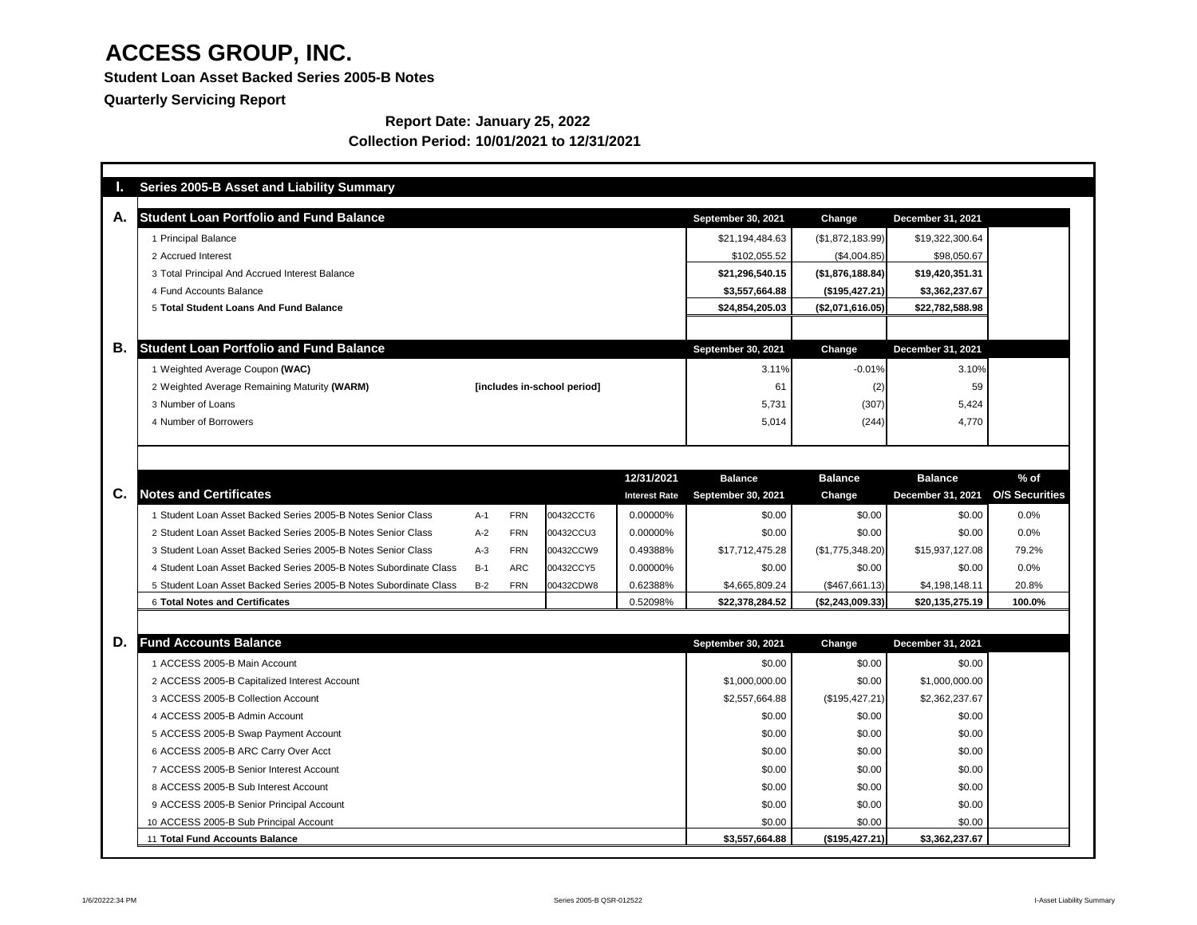**Student Loan Asset Backed Series 2005-B Notes**

**Quarterly Servicing Report**

### **Report Date: January 25, 2022 Collection Period: 10/01/2021 to 12/31/2021**

| <b>Student Loan Portfolio and Fund Balance</b>                    |       |            |                             |                      | <b>September 30, 2021</b> | <b>Change</b>    | <b>December 31, 2021</b> |                       |
|-------------------------------------------------------------------|-------|------------|-----------------------------|----------------------|---------------------------|------------------|--------------------------|-----------------------|
| 1 Principal Balance                                               |       |            |                             |                      | \$21,194,484.63           | (\$1,872,183.99) | \$19,322,300.64          |                       |
| 2 Accrued Interest                                                |       |            |                             |                      | \$102,055.52              | (\$4,004.85)     | \$98,050.67              |                       |
| 3 Total Principal And Accrued Interest Balance                    |       |            |                             |                      | \$21,296,540.15           | (\$1,876,188.84) | \$19,420,351.31          |                       |
| 4 Fund Accounts Balance                                           |       |            |                             |                      | \$3,557,664.88            | (\$195,427.21)   | \$3,362,237.67           |                       |
| 5 Total Student Loans And Fund Balance                            |       |            |                             |                      | \$24,854,205.03           | (\$2,071,616.05) | \$22,782,588.98          |                       |
|                                                                   |       |            |                             |                      |                           |                  |                          |                       |
| <b>Student Loan Portfolio and Fund Balance</b>                    |       |            |                             |                      | <b>September 30, 2021</b> | <b>Change</b>    | December 31, 2021        |                       |
| 1 Weighted Average Coupon (WAC)                                   |       |            |                             |                      | 3.11%                     | $-0.01%$         | 3.10%                    |                       |
| 2 Weighted Average Remaining Maturity (WARM)                      |       |            | [includes in-school period] |                      | 61                        | (2)              | 59                       |                       |
| 3 Number of Loans                                                 |       |            |                             |                      | 5,731                     | (307)            | 5,424                    |                       |
| 4 Number of Borrowers                                             |       |            |                             |                      | 5,014                     | (244)            | 4,770                    |                       |
|                                                                   |       |            |                             |                      |                           |                  |                          |                       |
|                                                                   |       |            |                             | 12/31/2021           | <b>Balance</b>            | <b>Balance</b>   | <b>Balance</b>           | $%$ of                |
| <b>Notes and Certificates</b>                                     |       |            |                             | <b>Interest Rate</b> | <b>September 30, 2021</b> | <b>Change</b>    | <b>December 31, 2021</b> | <b>O/S Securities</b> |
| 1 Student Loan Asset Backed Series 2005-B Notes Senior Class      | $A-1$ | <b>FRN</b> | 00432CCT6                   | 0.00000%             | \$0.00                    | \$0.00           | \$0.00                   | $0.0\%$               |
| 2 Student Loan Asset Backed Series 2005-B Notes Senior Class      | $A-2$ | <b>FRN</b> | 00432CCU3                   | 0.00000%             | \$0.00                    | \$0.00           | \$0.00                   | 0.0%                  |
| 3 Student Loan Asset Backed Series 2005-B Notes Senior Class      | $A-3$ | <b>FRN</b> | 00432CCW9                   | 0.49388%             | \$17,712,475.28           | (\$1,775,348.20) | \$15,937,127.08          | 79.2%                 |
| 4 Student Loan Asset Backed Series 2005-B Notes Subordinate Class | $B-1$ | <b>ARC</b> | 00432CCY5                   | 0.00000%             | \$0.00                    | \$0.00           | \$0.00                   | 0.0%                  |
| 5 Student Loan Asset Backed Series 2005-B Notes Subordinate Class | $B-2$ | <b>FRN</b> | 00432CDW8                   | 0.62388%             | \$4,665,809.24            | (\$467,661.13)   | \$4,198,148.11           | 20.8%                 |
| <b>6 Total Notes and Certificates</b>                             |       |            |                             | 0.52098%             | \$22,378,284.52           | (\$2,243,009.33) | \$20,135,275.19          | 100.0%                |
| <b>Fund Accounts Balance</b>                                      |       |            |                             |                      | <b>September 30, 2021</b> | <b>Change</b>    | <b>December 31, 2021</b> |                       |
| 1 ACCESS 2005-B Main Account                                      |       |            |                             |                      | \$0.00                    | \$0.00           | \$0.00                   |                       |
| 2 ACCESS 2005-B Capitalized Interest Account                      |       |            |                             |                      | \$1,000,000.00            | \$0.00           | \$1,000,000.00           |                       |
| 3 ACCESS 2005-B Collection Account                                |       |            |                             |                      | \$2,557,664.88            | (\$195,427.21)   | \$2,362,237.67           |                       |
| 4 ACCESS 2005-B Admin Account                                     |       |            |                             |                      | \$0.00                    | \$0.00           | \$0.00                   |                       |
| 5 ACCESS 2005-B Swap Payment Account                              |       |            |                             |                      | \$0.00                    | \$0.00           | \$0.00                   |                       |
| 6 ACCESS 2005-B ARC Carry Over Acct                               |       |            |                             |                      | \$0.00                    | \$0.00           | \$0.00                   |                       |
| 7 ACCESS 2005-B Senior Interest Account                           |       |            |                             |                      | \$0.00                    | \$0.00           | \$0.00                   |                       |
| 8 ACCESS 2005-B Sub Interest Account                              |       |            |                             |                      | \$0.00                    | \$0.00           | \$0.00                   |                       |
| 9 ACCESS 2005-B Senior Principal Account                          |       |            |                             |                      | \$0.00                    | \$0.00           | \$0.00                   |                       |
| 10 ACCESS 2005-B Sub Principal Account                            |       |            |                             |                      | \$0.00                    | \$0.00           | \$0.00                   |                       |
| 11 Total Fund Accounts Balance                                    |       |            |                             |                      | \$3,557,664.88            | (\$195,427.21)   | \$3,362,237.67           |                       |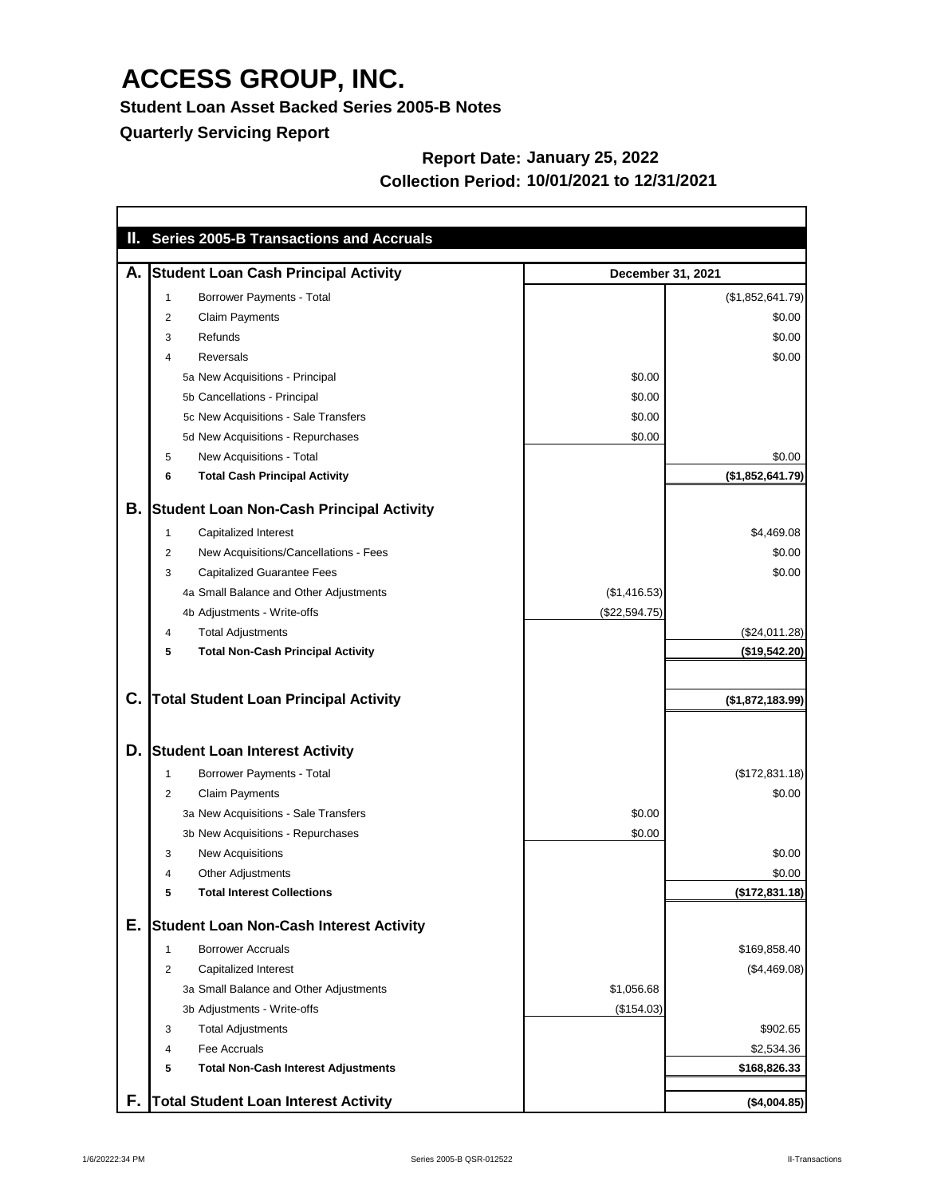**Student Loan Asset Backed Series 2005-B Notes**

**Quarterly Servicing Report**

### **Report Date: January 25, 2022 Collection Period: 10/01/2021 to 12/31/2021**

|    |                | II. Series 2005-B Transactions and Accruals     |               |                          |
|----|----------------|-------------------------------------------------|---------------|--------------------------|
| А. |                | <b>Student Loan Cash Principal Activity</b>     |               | <b>December 31, 2021</b> |
|    |                | <b>Borrower Payments - Total</b>                |               | (\$1,852,641.79)         |
|    | 2              | <b>Claim Payments</b>                           |               | \$0.00                   |
|    | 3              | Refunds                                         |               | \$0.00                   |
|    | 4              | Reversals                                       |               | \$0.00                   |
|    |                | 5a New Acquisitions - Principal                 | \$0.00        |                          |
|    |                | 5b Cancellations - Principal                    | \$0.00        |                          |
|    |                | 5c New Acquisitions - Sale Transfers            | \$0.00        |                          |
|    |                | 5d New Acquisitions - Repurchases               | \$0.00        |                          |
|    | 5              | New Acquisitions - Total                        |               | \$0.00                   |
|    | 6              | <b>Total Cash Principal Activity</b>            |               | (\$1,852,641.79)         |
| В. |                | <b>Student Loan Non-Cash Principal Activity</b> |               |                          |
|    | 1              | Capitalized Interest                            |               | \$4,469.08               |
|    | $\overline{2}$ | New Acquisitions/Cancellations - Fees           |               | \$0.00                   |
|    | 3              | <b>Capitalized Guarantee Fees</b>               |               | \$0.00                   |
|    |                | 4a Small Balance and Other Adjustments          | (\$1,416.53)  |                          |
|    |                | 4b Adjustments - Write-offs                     | (\$22,594.75) |                          |
|    | 4              | <b>Total Adjustments</b>                        |               | (\$24,011.28)            |
|    | 5              | <b>Total Non-Cash Principal Activity</b>        |               | (\$19,542.20)            |
| C. |                | <b>Total Student Loan Principal Activity</b>    |               | (\$1,872,183.99)         |
| D. |                | <b>Student Loan Interest Activity</b>           |               |                          |
|    |                | <b>Borrower Payments - Total</b>                |               | (\$172,831.18)           |
|    | 2              | <b>Claim Payments</b>                           |               | \$0.00                   |
|    |                | 3a New Acquisitions - Sale Transfers            | \$0.00        |                          |
|    |                | 3b New Acquisitions - Repurchases               | \$0.00        |                          |
|    | 3              | <b>New Acquisitions</b>                         |               | \$0.00                   |
|    | 4              | <b>Other Adjustments</b>                        |               | \$0.00                   |
|    | 5              | <b>Total Interest Collections</b>               |               | (\$172,831.18)           |
| Е. |                | <b>Student Loan Non-Cash Interest Activity</b>  |               |                          |
|    | 1              | <b>Borrower Accruals</b>                        |               | \$169,858.40             |
|    | 2              | Capitalized Interest                            |               | (\$4,469.08)             |
|    |                | 3a Small Balance and Other Adjustments          | \$1,056.68    |                          |
|    |                | 3b Adjustments - Write-offs                     | (\$154.03)    |                          |
|    | 3              | <b>Total Adjustments</b>                        |               | \$902.65                 |
|    | 4              | Fee Accruals                                    |               | \$2,534.36               |
|    | 5              | <b>Total Non-Cash Interest Adjustments</b>      |               | \$168,826.33             |
| F. |                | <b>Total Student Loan Interest Activity</b>     |               | (\$4,004.85)             |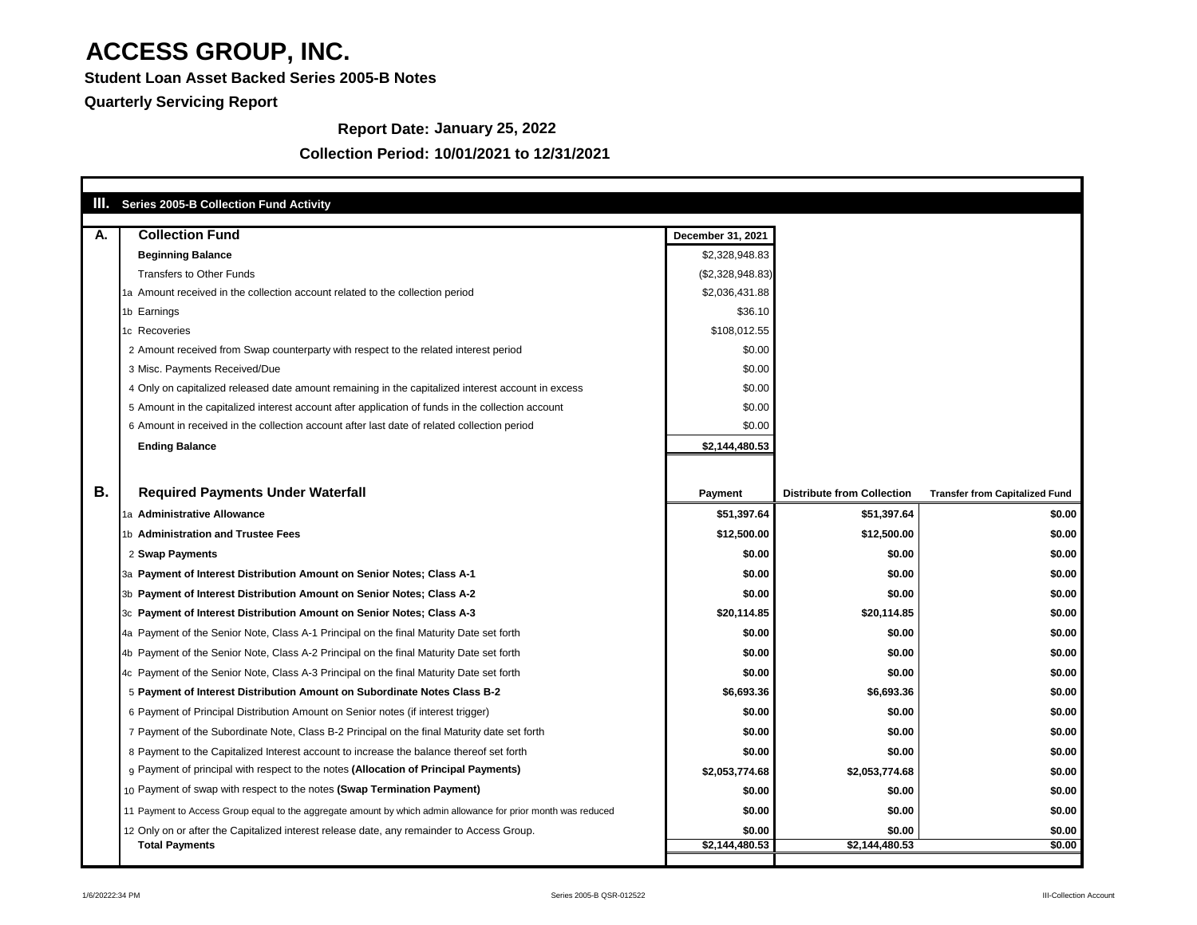**Student Loan Asset Backed Series 2005-B Notes**

**Quarterly Servicing Report**

### **Collection Period: 10/01/2021 to 12/31/2021**

### **Report Date: January 25, 2022**

| <b>Collection Fund</b>                                                                                        | <b>December 31, 2021</b> |                                   |                                       |
|---------------------------------------------------------------------------------------------------------------|--------------------------|-----------------------------------|---------------------------------------|
| <b>Beginning Balance</b>                                                                                      | \$2,328,948.83           |                                   |                                       |
| <b>Transfers to Other Funds</b>                                                                               | (\$2,328,948.83)         |                                   |                                       |
| 1a Amount received in the collection account related to the collection period                                 | \$2,036,431.88           |                                   |                                       |
| 1b Earnings                                                                                                   | \$36.10                  |                                   |                                       |
| 1c Recoveries                                                                                                 | \$108,012.55             |                                   |                                       |
| 2 Amount received from Swap counterparty with respect to the related interest period                          | \$0.00                   |                                   |                                       |
| 3 Misc. Payments Received/Due                                                                                 | \$0.00                   |                                   |                                       |
| 4 Only on capitalized released date amount remaining in the capitalized interest account in excess            | \$0.00                   |                                   |                                       |
| 5 Amount in the capitalized interest account after application of funds in the collection account             | \$0.00                   |                                   |                                       |
| 6 Amount in received in the collection account after last date of related collection period                   | \$0.00                   |                                   |                                       |
| <b>Ending Balance</b>                                                                                         | \$2,144,480.53           |                                   |                                       |
|                                                                                                               |                          |                                   |                                       |
| <b>Required Payments Under Waterfall</b>                                                                      | <b>Payment</b>           | <b>Distribute from Collection</b> | <b>Transfer from Capitalized Fund</b> |
| 1a Administrative Allowance                                                                                   | \$51,397.64              | \$51,397.64                       | \$0.00                                |
| 1b Administration and Trustee Fees                                                                            | \$12,500.00              | \$12,500.00                       | \$0.00                                |
| 2 Swap Payments                                                                                               | \$0.00                   | \$0.00                            | \$0.00                                |
| 3a Payment of Interest Distribution Amount on Senior Notes; Class A-1                                         | \$0.00                   | \$0.00                            | \$0.00                                |
| 3b Payment of Interest Distribution Amount on Senior Notes; Class A-2                                         | \$0.00                   | \$0.00                            | \$0.00                                |
| 3c Payment of Interest Distribution Amount on Senior Notes; Class A-3                                         | \$20,114.85              | \$20,114.85                       | \$0.00                                |
| 4a Payment of the Senior Note, Class A-1 Principal on the final Maturity Date set forth                       | \$0.00                   | \$0.00                            | \$0.00                                |
| 4b Payment of the Senior Note, Class A-2 Principal on the final Maturity Date set forth                       | \$0.00                   | \$0.00                            | \$0.00                                |
| 4c Payment of the Senior Note, Class A-3 Principal on the final Maturity Date set forth                       | \$0.00                   | \$0.00                            | \$0.00                                |
| 5 Payment of Interest Distribution Amount on Subordinate Notes Class B-2                                      | \$6,693.36               | \$6,693.36                        | \$0.00                                |
| 6 Payment of Principal Distribution Amount on Senior notes (if interest trigger)                              | \$0.00                   | \$0.00                            | \$0.00                                |
| 7 Payment of the Subordinate Note, Class B-2 Principal on the final Maturity date set forth                   | \$0.00                   | \$0.00                            | \$0.00                                |
| 8 Payment to the Capitalized Interest account to increase the balance thereof set forth                       | \$0.00                   | \$0.00                            | \$0.00                                |
| 9 Payment of principal with respect to the notes (Allocation of Principal Payments)                           | \$2,053,774.68           | \$2,053,774.68                    | \$0.00                                |
| 10 Payment of swap with respect to the notes (Swap Termination Payment)                                       | \$0.00                   | \$0.00                            | \$0.00                                |
| 11 Payment to Access Group equal to the aggregate amount by which admin allowance for prior month was reduced | \$0.00                   | \$0.00                            | \$0.00                                |
|                                                                                                               |                          |                                   |                                       |
| 12 Only on or after the Capitalized interest release date, any remainder to Access Group.                     | \$0.00                   | \$0.00                            | \$0.00                                |

٦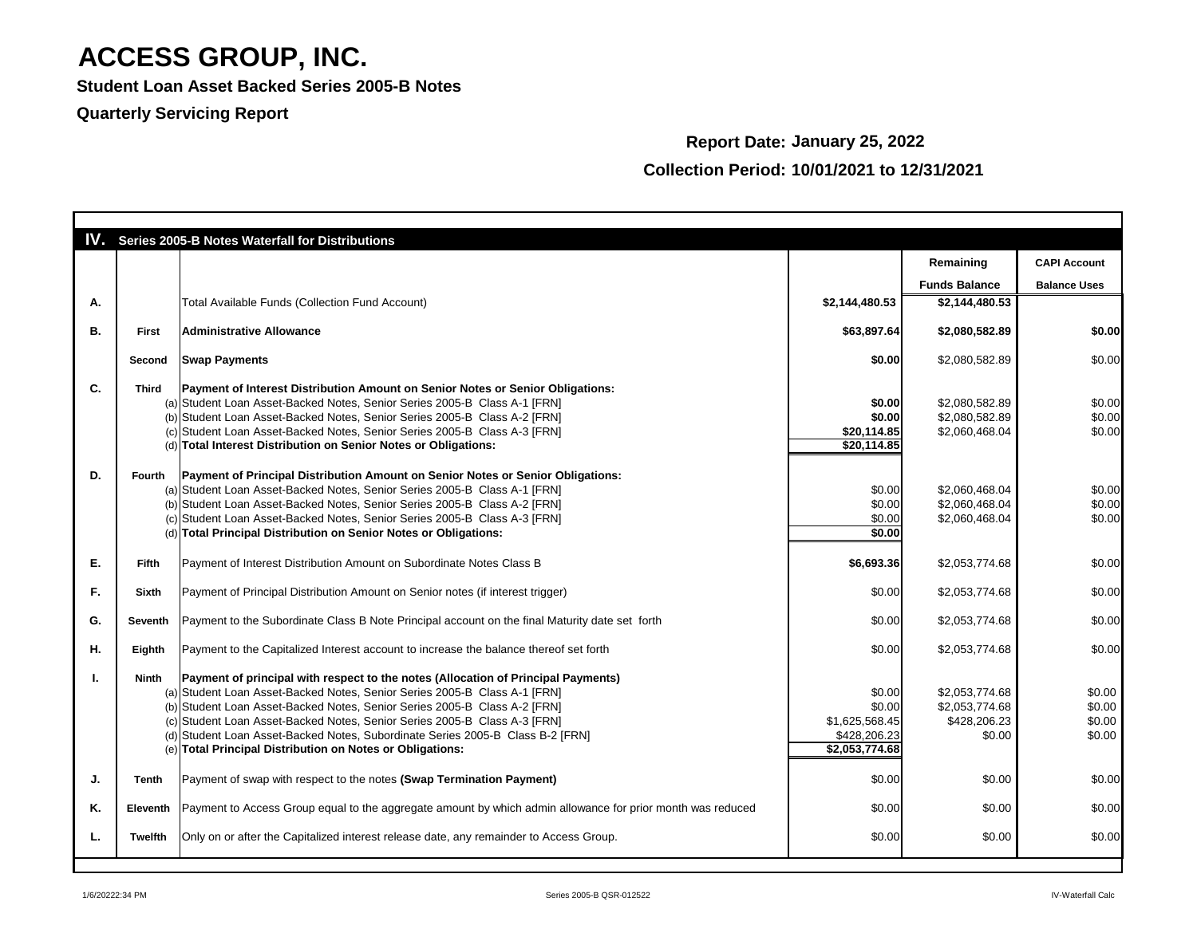**Student Loan Asset Backed Series 2005-B Notes**

### **Quarterly Servicing Report**

## **Report Date: January 25, 2022 Collection Period: 10/01/2021 to 12/31/2021**

|    |               | <b>IV.</b> Series 2005-B Notes Waterfall for Distributions                                                            |                |                      |                     |
|----|---------------|-----------------------------------------------------------------------------------------------------------------------|----------------|----------------------|---------------------|
|    |               |                                                                                                                       |                | Remaining            | <b>CAPI Account</b> |
|    |               |                                                                                                                       |                | <b>Funds Balance</b> | <b>Balance Uses</b> |
| Α. |               | Total Available Funds (Collection Fund Account)                                                                       | \$2,144,480.53 | \$2,144,480.53       |                     |
| В. | <b>First</b>  | <b>Administrative Allowance</b>                                                                                       | \$63,897.64    | \$2,080,582.89       | \$0.00              |
|    | Second        | <b>Swap Payments</b>                                                                                                  | \$0.00         | \$2,080,582.89       | \$0.00              |
| C. | <b>Third</b>  | <b>Payment of Interest Distribution Amount on Senior Notes or Senior Obligations:</b>                                 |                |                      |                     |
|    |               | (a) Student Loan Asset-Backed Notes, Senior Series 2005-B Class A-1 [FRN]                                             | \$0.00         | \$2,080,582.89       | \$0.00              |
|    |               | (b) Student Loan Asset-Backed Notes, Senior Series 2005-B Class A-2 [FRN]                                             | \$0.00         | \$2,080,582.89       | \$0.00              |
|    |               | (c) Student Loan Asset-Backed Notes, Senior Series 2005-B Class A-3 [FRN]                                             | \$20,114.85    | \$2,060,468.04       | \$0.00              |
|    |               | (d) Total Interest Distribution on Senior Notes or Obligations:                                                       | \$20,114.85    |                      |                     |
| D. | Fourth        | Payment of Principal Distribution Amount on Senior Notes or Senior Obligations:                                       |                |                      |                     |
|    |               | (a) Student Loan Asset-Backed Notes, Senior Series 2005-B Class A-1 [FRN]                                             | \$0.00         | \$2,060,468.04       | \$0.00              |
|    |               | (b) Student Loan Asset-Backed Notes, Senior Series 2005-B Class A-2 [FRN]                                             | \$0.00         | \$2,060,468.04       | \$0.00              |
|    |               | (c) Student Loan Asset-Backed Notes, Senior Series 2005-B Class A-3 [FRN]                                             | \$0.00         | \$2,060,468.04       | \$0.00              |
|    |               | (d) Total Principal Distribution on Senior Notes or Obligations:                                                      | \$0.00         |                      |                     |
| Е. | <b>Fifth</b>  | Payment of Interest Distribution Amount on Subordinate Notes Class B                                                  | \$6,693.36     | \$2,053,774.68       | \$0.00              |
| F. | <b>Sixth</b>  | Payment of Principal Distribution Amount on Senior notes (if interest trigger)                                        | \$0.00         | \$2,053,774.68       | \$0.00              |
| G. | Seventh       | Payment to the Subordinate Class B Note Principal account on the final Maturity date set forth                        | \$0.00         | \$2,053,774.68       | \$0.00              |
| Η. | <b>Eighth</b> | Payment to the Capitalized Interest account to increase the balance thereof set forth                                 | \$0.00         | \$2,053,774.68       | \$0.00              |
|    | Ninth         | <b>Payment of principal with respect to the notes (Allocation of Principal Payments)</b>                              |                |                      |                     |
|    |               | (a) Student Loan Asset-Backed Notes, Senior Series 2005-B Class A-1 [FRN]                                             | \$0.00         | \$2,053,774.68       | \$0.00              |
|    |               | (b) Student Loan Asset-Backed Notes, Senior Series 2005-B Class A-2 [FRN]                                             | \$0.00         | \$2,053,774.68       | \$0.00              |
|    |               | (c) Student Loan Asset-Backed Notes, Senior Series 2005-B Class A-3 [FRN]                                             | \$1,625,568.45 | \$428,206.23         | \$0.00              |
|    |               | (d) Student Loan Asset-Backed Notes, Subordinate Series 2005-B Class B-2 [FRN]                                        | \$428,206.23   | \$0.00               | \$0.00              |
|    |               | (e) Total Principal Distribution on Notes or Obligations:                                                             | \$2,053,774.68 |                      |                     |
| J. | Tenth         | Payment of swap with respect to the notes (Swap Termination Payment)                                                  | \$0.00         | \$0.00               | \$0.00              |
| Κ. |               | Eleventh   Payment to Access Group equal to the aggregate amount by which admin allowance for prior month was reduced | \$0.00         | \$0.00               | \$0.00              |
| L. | Twelfth       | Only on or after the Capitalized interest release date, any remainder to Access Group.                                | \$0.00         | \$0.00               | \$0.00              |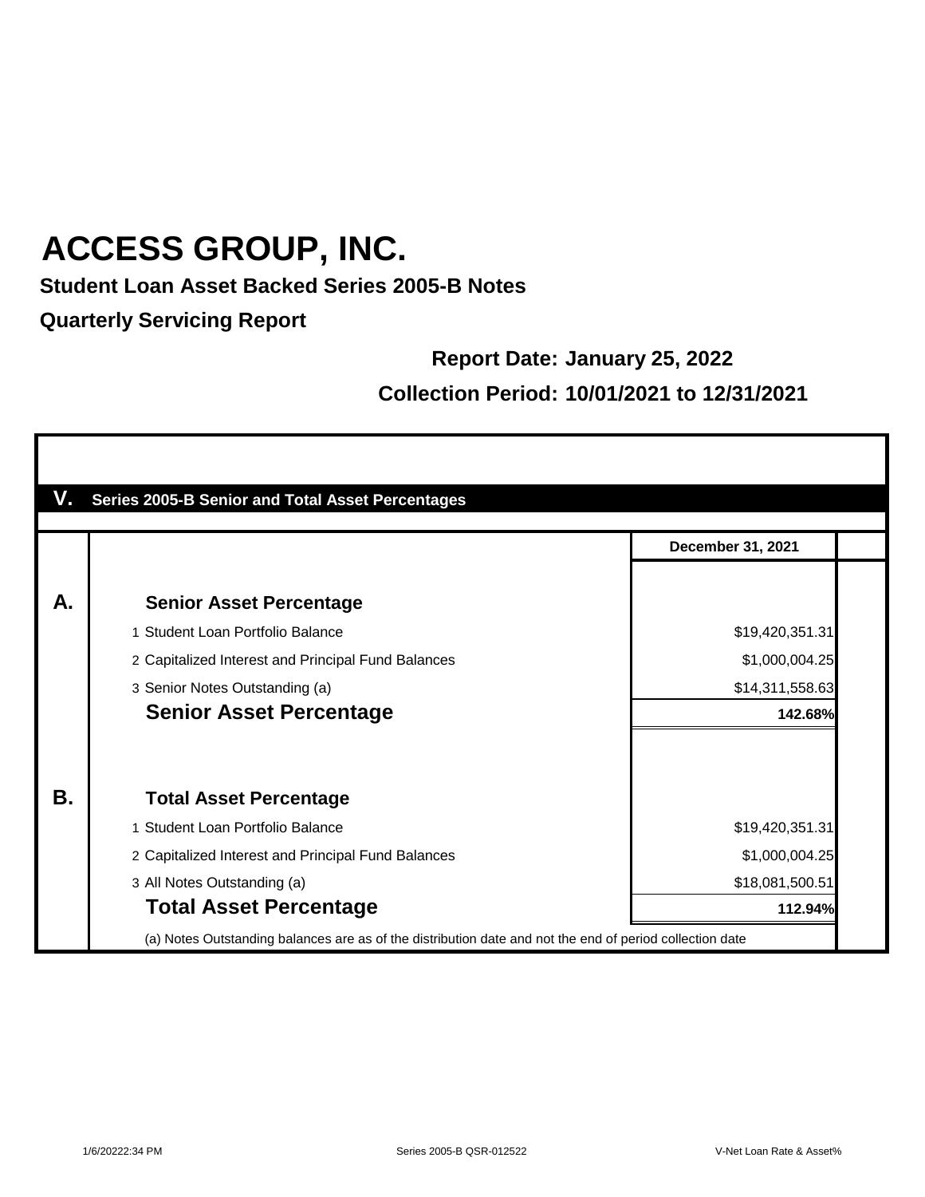### **Student Loan Asset Backed Series 2005-B Notes**

**Quarterly Servicing Report**

#### **Report Date: January 25, 2022**

### **Collection Period: 10/01/2021 to 12/31/2021**

|           | <b>Series 2005-B Senior and Total Asset Percentages</b>                                                  |                          |
|-----------|----------------------------------------------------------------------------------------------------------|--------------------------|
|           |                                                                                                          | <b>December 31, 2021</b> |
| А.        | <b>Senior Asset Percentage</b>                                                                           |                          |
|           | 1 Student Loan Portfolio Balance                                                                         | \$19,420,351.31          |
|           | 2 Capitalized Interest and Principal Fund Balances                                                       | \$1,000,004.25           |
|           | 3 Senior Notes Outstanding (a)                                                                           | \$14,311,558.63          |
|           | <b>Senior Asset Percentage</b>                                                                           | 142.68%                  |
| <b>B.</b> | <b>Total Asset Percentage</b>                                                                            |                          |
|           | 1 Student Loan Portfolio Balance                                                                         | \$19,420,351.31          |
|           | 2 Capitalized Interest and Principal Fund Balances                                                       | \$1,000,004.25           |
|           | 3 All Notes Outstanding (a)                                                                              | \$18,081,500.51          |
|           | <b>Total Asset Percentage</b>                                                                            | 112.94%                  |
|           | (a) Notes Outstanding balances are as of the distribution date and not the end of period collection date |                          |

٦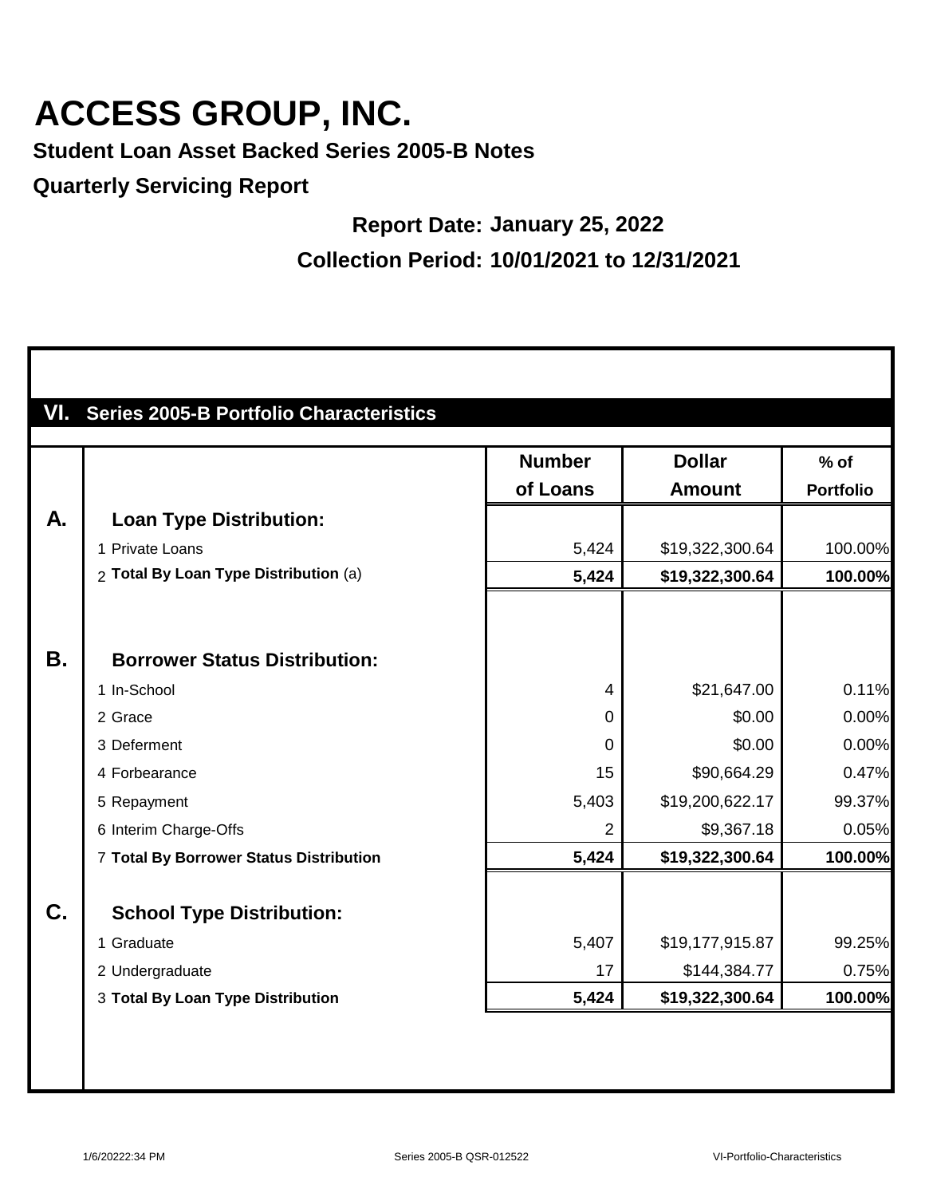**Student Loan Asset Backed Series 2005-B Notes**

**Quarterly Servicing Report**

#### **Report Date: January 25, 2022**

**Collection Period: 10/01/2021 to 12/31/2021**

|           | <b>Series 2005-B Portfolio Characteristics</b> |                |                 |                  |
|-----------|------------------------------------------------|----------------|-----------------|------------------|
|           |                                                | <b>Number</b>  | <b>Dollar</b>   | $%$ of           |
|           |                                                | of Loans       | <b>Amount</b>   | <b>Portfolio</b> |
| A.        | <b>Loan Type Distribution:</b>                 |                |                 |                  |
|           | 1 Private Loans                                | 5,424          | \$19,322,300.64 | 100.00%          |
|           | 2 Total By Loan Type Distribution (a)          | 5,424          | \$19,322,300.64 | 100.00%          |
|           |                                                |                |                 |                  |
| <b>B.</b> | <b>Borrower Status Distribution:</b>           |                |                 |                  |
|           | 1 In-School                                    | $\overline{4}$ | \$21,647.00     | 0.11%            |
|           | 2 Grace                                        | $\Omega$       | \$0.00          | 0.00%            |
|           | 3 Deferment                                    | $\overline{0}$ | \$0.00          | 0.00%            |
|           | 4 Forbearance                                  | 15             | \$90,664.29     | 0.47%            |
|           | 5 Repayment                                    | 5,403          | \$19,200,622.17 | 99.37%           |
|           | 6 Interim Charge-Offs                          | $\overline{2}$ | \$9,367.18      | 0.05%            |
|           | 7 Total By Borrower Status Distribution        | 5,424          | \$19,322,300.64 | 100.00%          |
| C.        | <b>School Type Distribution:</b>               |                |                 |                  |
|           | 1 Graduate                                     | 5,407          | \$19,177,915.87 | 99.25%           |
|           | 2 Undergraduate                                | 17             | \$144,384.77    | 0.75%            |
|           | 3 Total By Loan Type Distribution              | 5,424          | \$19,322,300.64 | 100.00%          |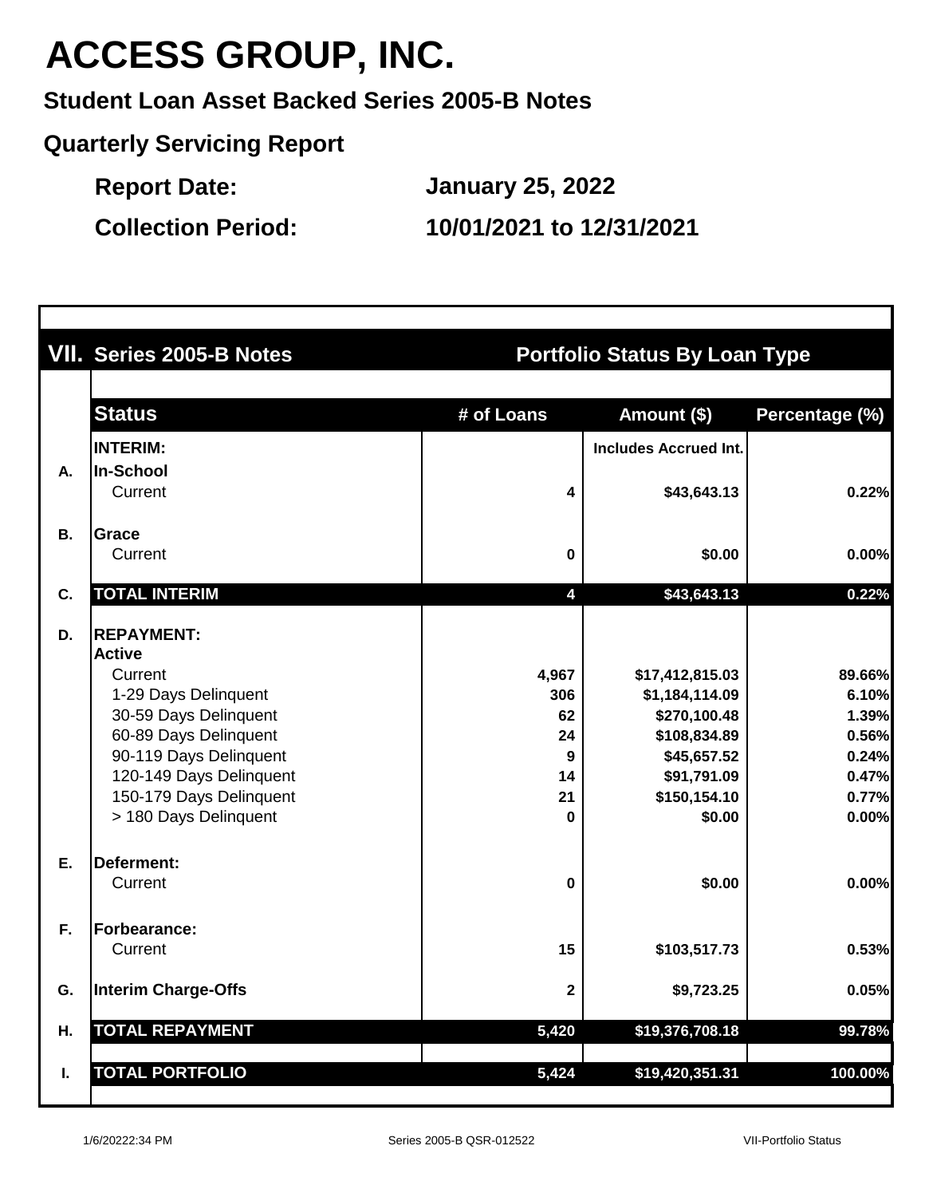**Student Loan Asset Backed Series 2005-B Notes**

**Quarterly Servicing Report**

**Report Date:**

**January 25, 2022**

**Collection Period: 10/01/2021 to 12/31/2021**

|           | VII. Series 2005-B Notes                           | <b>Portfolio Status By Loan Type</b> |                              |                |  |  |
|-----------|----------------------------------------------------|--------------------------------------|------------------------------|----------------|--|--|
|           | <b>Status</b>                                      | # of Loans                           | Amount (\$)                  | Percentage (%) |  |  |
|           | <b>INTERIM:</b>                                    |                                      | <b>Includes Accrued Int.</b> |                |  |  |
| Α.        | In-School                                          |                                      |                              |                |  |  |
|           | Current                                            | 4                                    | \$43,643.13                  | 0.22%          |  |  |
| <b>B.</b> | Grace                                              |                                      |                              |                |  |  |
|           | Current                                            | 0                                    | \$0.00                       | 0.00%          |  |  |
| C.        | <b>TOTAL INTERIM</b>                               | 4                                    | \$43,643.13                  | 0.22%          |  |  |
| D.        | <b>REPAYMENT:</b>                                  |                                      |                              |                |  |  |
|           | <b>Active</b>                                      |                                      |                              |                |  |  |
|           | Current                                            | 4,967                                | \$17,412,815.03              | 89.66%         |  |  |
|           | 1-29 Days Delinquent                               | 306                                  | \$1,184,114.09               | 6.10%          |  |  |
|           | 30-59 Days Delinquent                              | 62                                   | \$270,100.48                 | 1.39%          |  |  |
|           | 60-89 Days Delinquent                              | 24                                   | \$108,834.89                 | 0.56%          |  |  |
|           | 90-119 Days Delinquent                             | 9                                    | \$45,657.52                  | 0.24%          |  |  |
|           | 120-149 Days Delinquent<br>150-179 Days Delinquent | 14                                   | \$91,791.09                  | 0.47%          |  |  |
|           | > 180 Days Delinquent                              | 21<br>0                              | \$150,154.10<br>\$0.00       | 0.77%<br>0.00% |  |  |
| Ε.        | <b>Deferment:</b>                                  |                                      |                              |                |  |  |
|           | Current                                            | 0                                    | \$0.00                       | 0.00%          |  |  |
| F.        | <b>Forbearance:</b>                                |                                      |                              |                |  |  |
|           | Current                                            | 15                                   | \$103,517.73                 | 0.53%          |  |  |
| G.        | <b>Interim Charge-Offs</b>                         | $\mathbf 2$                          | \$9,723.25                   | 0.05%          |  |  |
| Н.        | <b>TOTAL REPAYMENT</b>                             | 5,420                                | \$19,376,708.18              | 99.78%         |  |  |
| I.        | <b>TOTAL PORTFOLIO</b>                             | 5,424                                | \$19,420,351.31              | 100.00%        |  |  |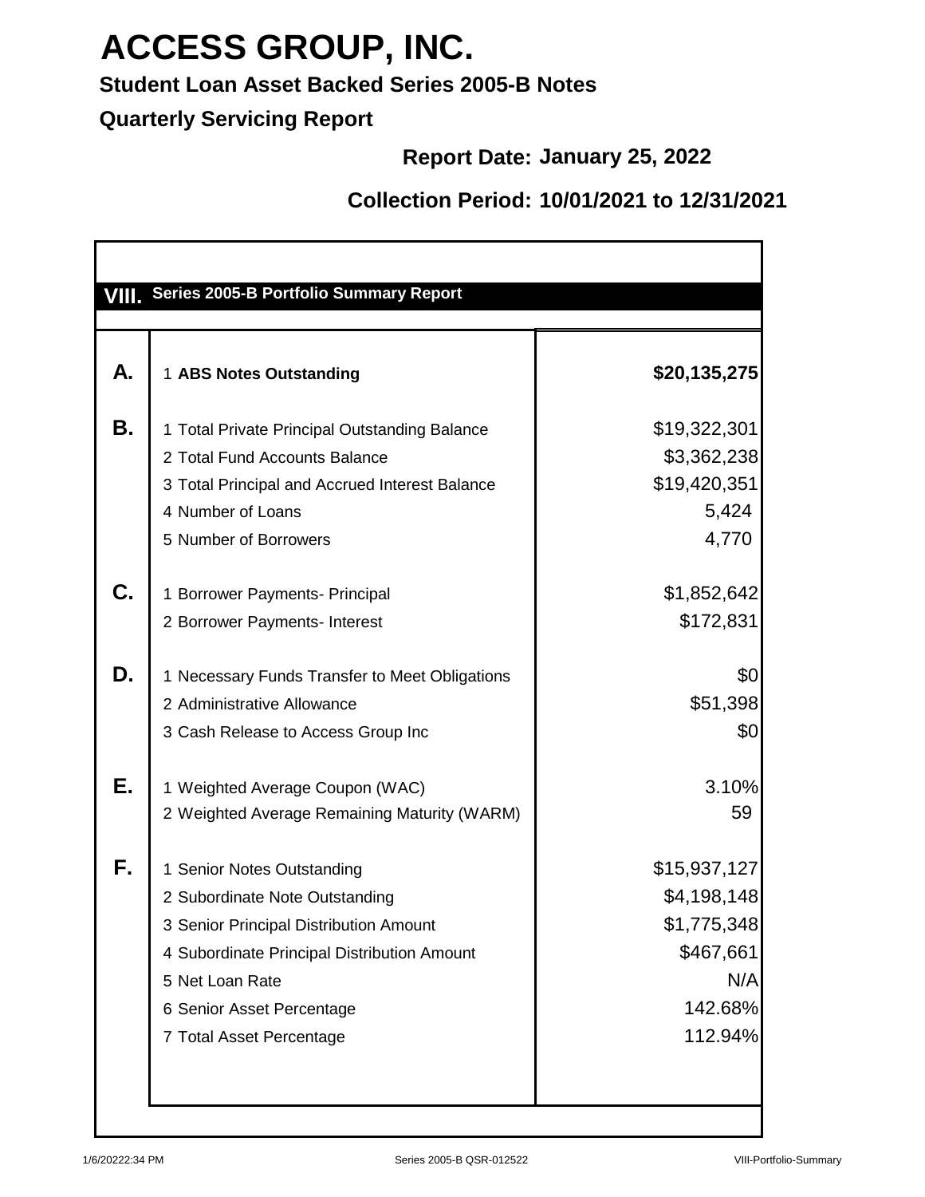### **Student Loan Asset Backed Series 2005-B Notes**

**Quarterly Servicing Report**

#### **Report Date: January 25, 2022**

### **Collection Period: 10/01/2021 to 12/31/2021**

| А. | 1 ABS Notes Outstanding                        | \$20,135,275 |
|----|------------------------------------------------|--------------|
| Β. | 1 Total Private Principal Outstanding Balance  | \$19,322,301 |
|    | 2 Total Fund Accounts Balance                  | \$3,362,238  |
|    | 3 Total Principal and Accrued Interest Balance | \$19,420,351 |
|    | 4 Number of Loans                              | 5,424        |
|    | 5 Number of Borrowers                          | 4,770        |
| C. | 1 Borrower Payments- Principal                 | \$1,852,642  |
|    | 2 Borrower Payments- Interest                  | \$172,831    |
| D. | 1 Necessary Funds Transfer to Meet Obligations | \$0          |
|    | 2 Administrative Allowance                     | \$51,398     |
|    | 3 Cash Release to Access Group Inc             | \$0          |
| Е. | 1 Weighted Average Coupon (WAC)                | 3.10%        |
|    | 2 Weighted Average Remaining Maturity (WARM)   | 59           |
| F. | 1 Senior Notes Outstanding                     | \$15,937,127 |
|    | 2 Subordinate Note Outstanding                 | \$4,198,148  |
|    | 3 Senior Principal Distribution Amount         | \$1,775,348  |
|    | 4 Subordinate Principal Distribution Amount    | \$467,661    |
|    | 5 Net Loan Rate                                | N/A          |
|    | 6 Senior Asset Percentage                      | 142.68%      |
|    | 7 Total Asset Percentage                       | 112.94%      |